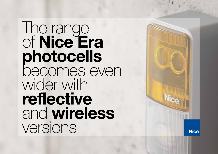The range of Nice Era photocells becomes even wider with reflective and wireless versions

**Nice**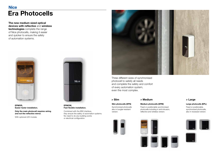# **Nice** Era Photocells

The new medium sized optical devices with reflective and wireless technologies complete the range of Nice photocells, making it easier and quicker to ensure the safety of automation systems.



EPMOR, Easier faster installation.

Only the main photocell requires wiring and not the reflective mirror.

With optional LED module.



EPMOW, Fast flexible installation.

Combined with the IBW interface, they ensure the safety of automation systems. No need to do any building works or electrical configuration.



Three different sizes of synchronised photocell to satisfy all needs and complete the safety and comfort of every automation system, even the most complex.

## Slim photocells (EPS) Synchronized photocells

also in burglar-resistant version.



## > Slim > Medium > Medium > Large

#### Medium photocells (EPM)

Fixed or positionable synchronised photocells including in anti-intrusion, reflective and wireless version.





### Large photocells (EPL)

Fixed or positionable, synchronized photocells, also in recessed version.

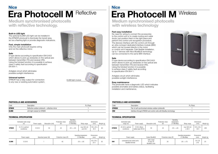# Nice **Nice Accounts to the United States of the United States and Accounts of the United States and Accounts of the United States and Accounts of the United States and Accounts of the United States and Accounts of the Unit** Era Photocell M Reflective | Era Photocell M Wireless

Medium synchronised photocells with reflective technology.

#### Built-in LED light

The optional ELMM LED light can be installed in the EPMOR photocell to illuminate the transit area, act as a flashing light or provide diagnostic indications.

#### Fast, simple installation

Only the main photocell requires wiring and not the reflective mirror.

#### Safe

D type device according to specification EN12453 which allows to pick-up obstacles on the optical axis between transmitter (TX) and receiver (RX). Using the fototest function it is possible to achieve class 2 safety fault according to specification EN 954-1.

Antiglare circuit which eliminates possible sunlight interference.

#### Universal system

EPMOR has a relay output for connection to any new or existing automation system.





#### PHOTOCELLS AND ACCESSORIES

| Code         | Description                                        | Pc./Pack. |
|--------------|----------------------------------------------------|-----------|
| <b>EPMOR</b> | Reflective outdoor photocell $+$ reflective mirror |           |
| ELMM         | LED light module for EPMOR                         |           |

|              | Estimated radio range<br>(m)    | Power supply | Absorption (mA) | Protection class<br>$(\mathsf{IP})$ | Operating<br>temperature<br>(°C Min/Max) | Relay range            | Dimensions<br>(mm)             | Weight (g) |
|--------------|---------------------------------|--------------|-----------------|-------------------------------------|------------------------------------------|------------------------|--------------------------------|------------|
| <b>EPMOR</b> | 8 (15 in optimal<br>conditions) | $12 - 24V$   | 50              | 44                                  | $-20 \div +50$                           | max 500 mA<br>and 48 V | $105 \times 50 \times$<br>40 h | 83         |

|             | Power supply | Absorbed power (W) | Protection class (IP) | Operating temperature<br>(°C Min/Max) | <b>Dimensions</b><br>(mm) | Weight (g) |
|-------------|--------------|--------------------|-----------------------|---------------------------------------|---------------------------|------------|
| <b>ELMM</b> | 12-24 V      |                    | 45                    | $-20 \div +55$                        | 40 x 30 x<br>25 h         | 20         |

Medium synchronised photocells with wireless technology

#### Fast easy installation

No need for wiring to connect the accessories to the control unit or to create routing and cable ducts; just position them in the right place and perform the control unit recognition procedure. The devices interface with the control unit through an ultra-compact dedicated interface module (IBW) which can be housed directly in the motor or control unit if separate. Fast flexible installation. Up to 7 devices with Nice BlueBUS technology can be connected to the same IBW interface.

#### Safe

D type device according to specification EN12453 which allows to pick-up obstacles on the optical axis between transmitter (TX) and receiver (RX). Using the fototest function it is possible to achieve class 2 safety fault according to specification EN 954-1.

Antiglare circuit which eliminates possible sunlight interference.

#### Easy maintenance

The photocells have a diagnostic LED which indicates possible anomalies and battery status, facilitating installation and maintenance.



#### PHOTOCELLS AND ACCESSORIES

| Code         | <b>Description</b>                                                | Pc./Pack. |
|--------------|-------------------------------------------------------------------|-----------|
| <b>EPMOW</b> | Pair of self-synchronised wireless outdoor photocells             |           |
| IBW          | Interface through EPMOW and control units with BlueBus technology |           |

### TECHNICAL SPECIFICATION TECHNICAL SPECIFICATION

|              | Estimated radio                  |                                       |                 | Protection class | Operating<br>temperature | <b>Dimensions</b>    |                                |            |
|--------------|----------------------------------|---------------------------------------|-----------------|------------------|--------------------------|----------------------|--------------------------------|------------|
|              | range (m)                        | Power supply                          | Absorption (mA) | (IP)             | (°C Min/Max)             | Relav range          | (mm)                           | Weight (g) |
| <b>EPMOW</b> | 20 (40 in optimal<br>conditions) | 3 V DC. lithium<br>battery type CR123 | 50              | 44               | $-20 \div +55$           | max 500 mA<br>e 48 V | $105 \times 50 \times$<br>40 h | 200        |

|     | Power supply                                               | Outout BlueBUS                                   | Protection class (IP) | Operating temperature<br>(°C Min/Max) | <b>Dimensions</b><br>(mm) | Weight (g) |
|-----|------------------------------------------------------------|--------------------------------------------------|-----------------------|---------------------------------------|---------------------------|------------|
| IBW | connected to the control unit's<br><b>BlueBUS</b> terminal | with a load<br>of max 20<br><b>BlueBUS</b> units | 30                    | $-20 \div +70$                        | 18 x 33<br>x 40           | 25         |